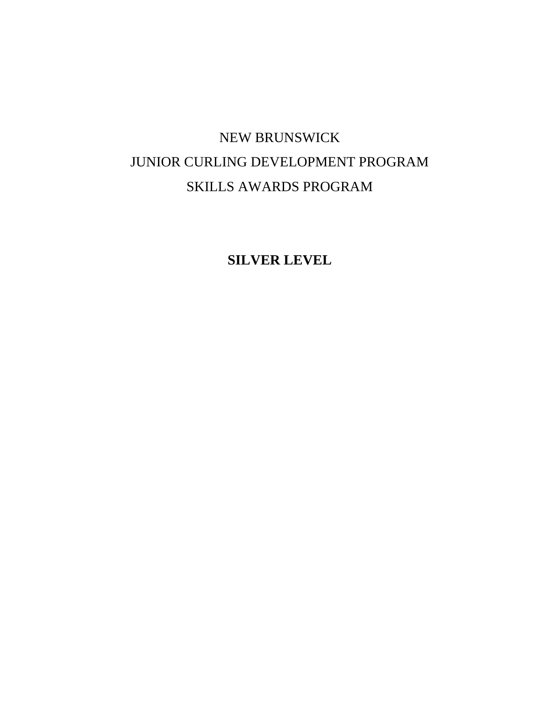# NEW BRUNSWICK JUNIOR CURLING DEVELOPMENT PROGRAM SKILLS AWARDS PROGRAM

**SILVER LEVEL**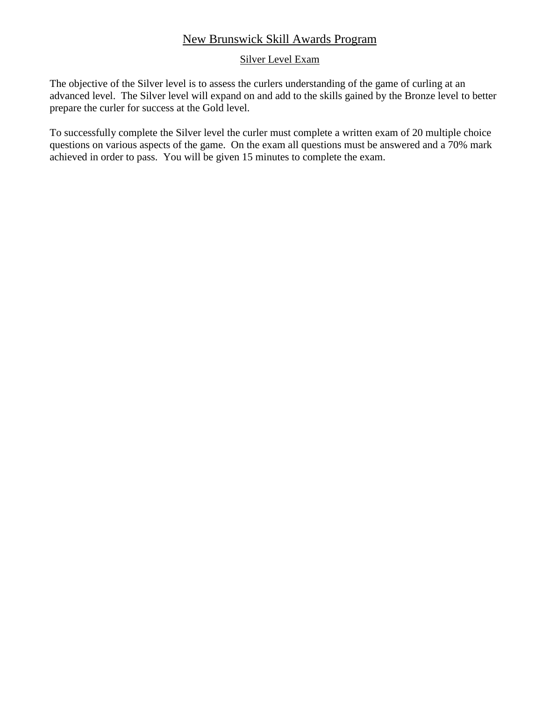## New Brunswick Skill Awards Program

#### Silver Level Exam

The objective of the Silver level is to assess the curlers understanding of the game of curling at an advanced level. The Silver level will expand on and add to the skills gained by the Bronze level to better prepare the curler for success at the Gold level.

To successfully complete the Silver level the curler must complete a written exam of 20 multiple choice questions on various aspects of the game. On the exam all questions must be answered and a 70% mark achieved in order to pass. You will be given 15 minutes to complete the exam.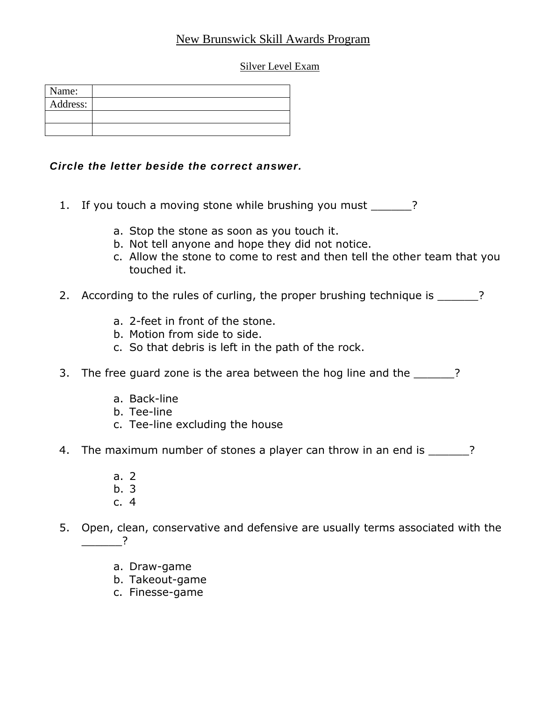# New Brunswick Skill Awards Program

Silver Level Exam

| Name:    |  |
|----------|--|
| Address: |  |
|          |  |
|          |  |

## *Circle the letter beside the correct answer.*

- 1. If you touch a moving stone while brushing you must \_\_\_\_\_\_?
	- a. Stop the stone as soon as you touch it.
	- b. Not tell anyone and hope they did not notice.
	- c. Allow the stone to come to rest and then tell the other team that you touched it.
- 2. According to the rules of curling, the proper brushing technique is \_\_\_\_\_\_?
	- a. 2-feet in front of the stone.
	- b. Motion from side to side.
	- c. So that debris is left in the path of the rock.
- 3. The free guard zone is the area between the hog line and the \_\_\_\_\_?
	- a. Back-line
	- b. Tee-line
	- c. Tee-line excluding the house
- 4. The maximum number of stones a player can throw in an end is  $\frac{1}{2}$ ?
	- a. 2
	- b. 3
	- c. 4
- 5. Open, clean, conservative and defensive are usually terms associated with the  $\overline{?}$ 
	- a. Draw-game
	- b. Takeout-game
	- c. Finesse-game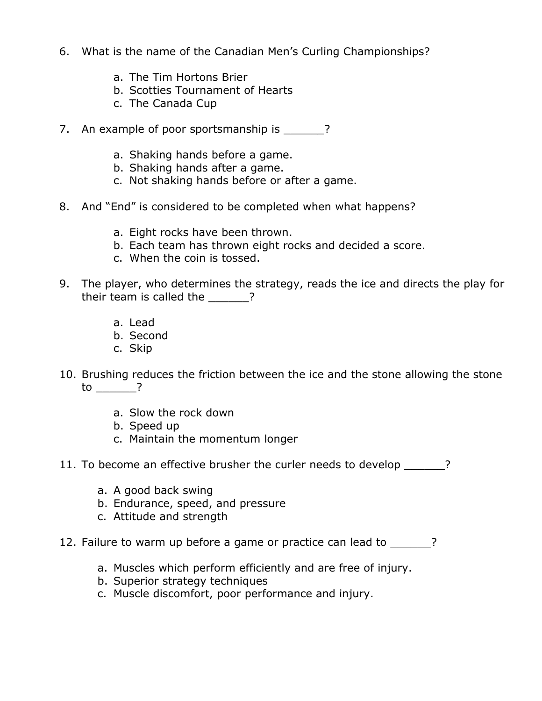- 6. What is the name of the Canadian Men's Curling Championships?
	- a. The Tim Hortons Brier
	- b. Scotties Tournament of Hearts
	- c. The Canada Cup
- 7. An example of poor sportsmanship is \_\_\_\_\_\_?
	- a. Shaking hands before a game.
	- b. Shaking hands after a game.
	- c. Not shaking hands before or after a game.
- 8. And "End" is considered to be completed when what happens?
	- a. Eight rocks have been thrown.
	- b. Each team has thrown eight rocks and decided a score.
	- c. When the coin is tossed.
- 9. The player, who determines the strategy, reads the ice and directs the play for their team is called the \_\_\_\_\_\_?
	- a. Lead
	- b. Second
	- c. Skip
- 10. Brushing reduces the friction between the ice and the stone allowing the stone to \_\_\_\_\_\_?
	- a. Slow the rock down
	- b. Speed up
	- c. Maintain the momentum longer
- 11. To become an effective brusher the curler needs to develop \_\_\_\_\_\_?
	- a. A good back swing
	- b. Endurance, speed, and pressure
	- c. Attitude and strength
- 12. Failure to warm up before a game or practice can lead to \_\_\_\_\_\_?
	- a. Muscles which perform efficiently and are free of injury.
	- b. Superior strategy techniques
	- c. Muscle discomfort, poor performance and injury.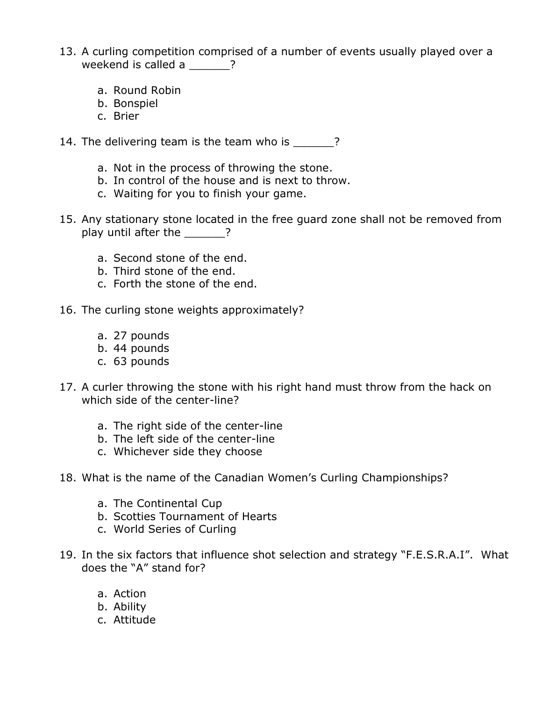- 13. A curling competition comprised of a number of events usually played over a weekend is called a **with 2**?
	- a. Round Robin
	- b. Bonspiel
	- c. Brier
- 14. The delivering team is the team who is  $\qquad$  ?
	- a. Not in the process of throwing the stone.
	- b. In control of the house and is next to throw.
	- c. Waiting for you to finish your game.
- 15. Any stationary stone located in the free guard zone shall not be removed from play until after the 2
	- a. Second stone of the end.
	- b. Third stone of the end.
	- c. Forth the stone of the end.
- 16. The curling stone weights approximately?
	- a. 27 pounds
	- b. 44 pounds
	- c. 63 pounds
- 17. A curler throwing the stone with his right hand must throw from the hack on which side of the center-line?
	- a. The right side of the center-line
	- b. The left side of the center-line
	- c. Whichever side they choose
- 18. What is the name of the Canadian Women's Curling Championships?
	- a. The Continental Cup
	- b. Scotties Tournament of Hearts
	- c. World Series of Curling
- 19. In the six factors that influence shot selection and strategy "F.E.S.R.A.I". What does the "A" stand for?
	- a. Action
	- b. Ability
	- c. Attitude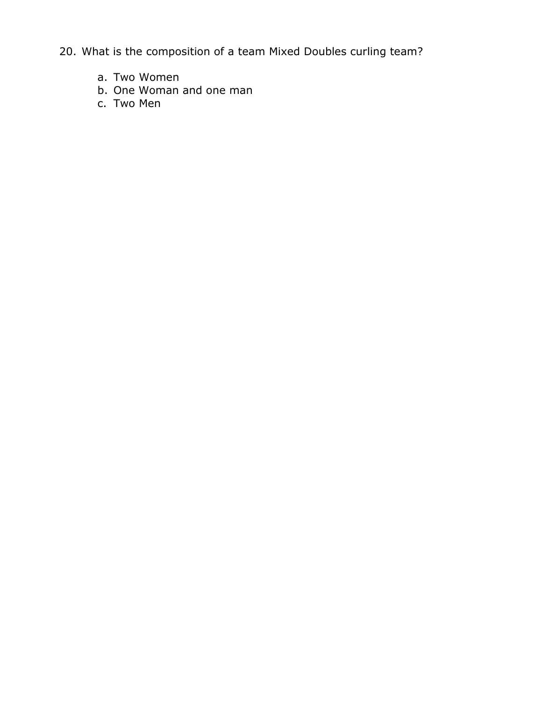20. What is the composition of a team Mixed Doubles curling team?

- a. Two Women
- b. One Woman and one man
- c. Two Men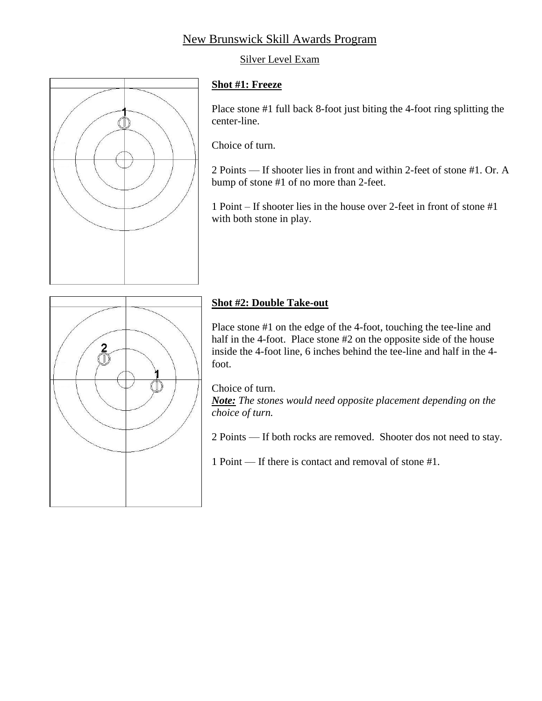# New Brunswick Skill Awards Program

## Silver Level Exam



#### **Shot #1: Freeze**

Place stone #1 full back 8-foot just biting the 4-foot ring splitting the center-line.

Choice of turn.

2 Points — If shooter lies in front and within 2-feet of stone #1. Or. A bump of stone #1 of no more than 2-feet.

1 Point – If shooter lies in the house over 2-feet in front of stone #1 with both stone in play.



## **Shot #2: Double Take-out**

Place stone #1 on the edge of the 4-foot, touching the tee-line and half in the 4-foot. Place stone #2 on the opposite side of the house inside the 4-foot line, 6 inches behind the tee-line and half in the 4 foot.

Choice of turn.

*Note: The stones would need opposite placement depending on the choice of turn.*

2 Points — If both rocks are removed. Shooter dos not need to stay.

1 Point — If there is contact and removal of stone #1.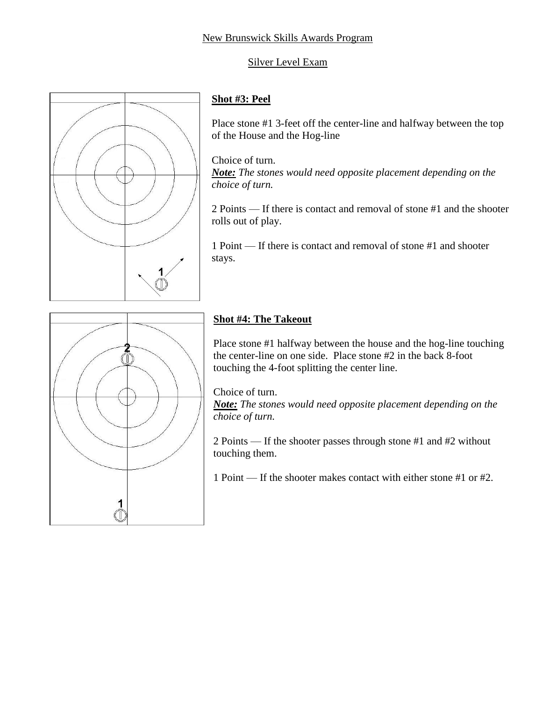## Silver Level Exam



# **Shot #3: Peel**

Place stone #1 3-feet off the center-line and halfway between the top of the House and the Hog-line

Choice of turn.

*Note: The stones would need opposite placement depending on the choice of turn.*

2 Points — If there is contact and removal of stone #1 and the shooter rolls out of play.

1 Point — If there is contact and removal of stone #1 and shooter stays.



# **Shot #4: The Takeout**

Place stone #1 halfway between the house and the hog-line touching the center-line on one side. Place stone #2 in the back 8-foot touching the 4-foot splitting the center line.

Choice of turn. *Note: The stones would need opposite placement depending on the choice of turn.*

2 Points — If the shooter passes through stone #1 and #2 without touching them.

1 Point — If the shooter makes contact with either stone #1 or #2.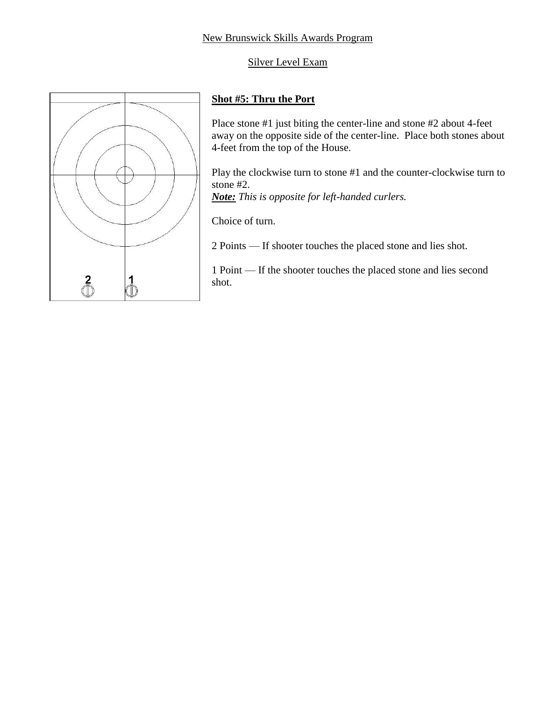## New Brunswick Skills Awards Program

## Silver Level Exam



## **Shot #5: Thru the Port**

Place stone #1 just biting the center-line and stone #2 about 4-feet away on the opposite side of the center-line. Place both stones about 4-feet from the top of the House.

Play the clockwise turn to stone #1 and the counter-clockwise turn to stone #2.

*Note: This is opposite for left-handed curlers.*

Choice of turn.

2 Points — If shooter touches the placed stone and lies shot.

1 Point — If the shooter touches the placed stone and lies second shot.